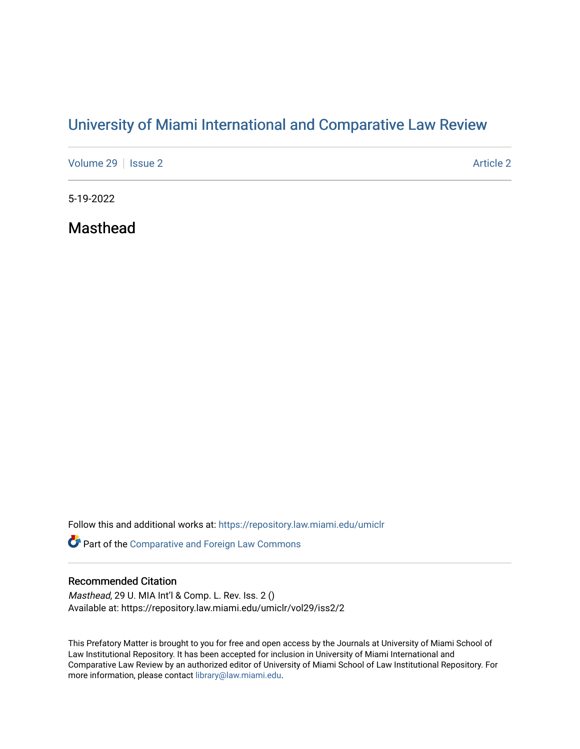# [University of Miami International and Comparative Law Review](https://repository.law.miami.edu/umiclr)

[Volume 29](https://repository.law.miami.edu/umiclr/vol29) | [Issue 2](https://repository.law.miami.edu/umiclr/vol29/iss2) [Article 2](https://repository.law.miami.edu/umiclr/vol29/iss2/2) Article 2

5-19-2022

Masthead

Follow this and additional works at: [https://repository.law.miami.edu/umiclr](https://repository.law.miami.edu/umiclr?utm_source=repository.law.miami.edu%2Fumiclr%2Fvol29%2Fiss2%2F2&utm_medium=PDF&utm_campaign=PDFCoverPages)

**Part of the Comparative and Foreign Law Commons** 

## Recommended Citation

Masthead, 29 U. MIA Int'l & Comp. L. Rev. Iss. 2 () Available at: https://repository.law.miami.edu/umiclr/vol29/iss2/2

This Prefatory Matter is brought to you for free and open access by the Journals at University of Miami School of Law Institutional Repository. It has been accepted for inclusion in University of Miami International and Comparative Law Review by an authorized editor of University of Miami School of Law Institutional Repository. For more information, please contact [library@law.miami.edu](mailto:library@law.miami.edu).